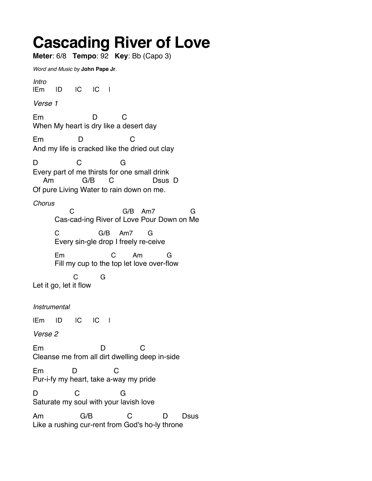## Cascading River of Love

Meter: 6/8 Tempo: 92 Key: Bb (Capo 3) Word and Music by John Pape Jr. Intro |Em |D |C |C | Verse 1 Em D C When My heart is dry like a desert day Em D C And my life is cracked like the dried out clay D C G Every part of me thirsts for one small drink Am G/B C Dsus D Of pure Living Water to rain down on me. **Chorus**  C G/B Am7 G Cas-cad-ing River of Love Pour Down on Me C G/B Am7 G Every sin-gle drop I freely re-ceive Em C Am G Fill my cup to the top let love over-flow C G Let it go, let it flow Instrumental |Em |D |C |C | Verse 2 Em D C Cleanse me from all dirt dwelling deep in-side Em D C Pur-i-fy my heart, take a-way my pride D C G Saturate my soul with your lavish love Am G/B C D Dsus Like a rushing cur-rent from God's ho-ly throne